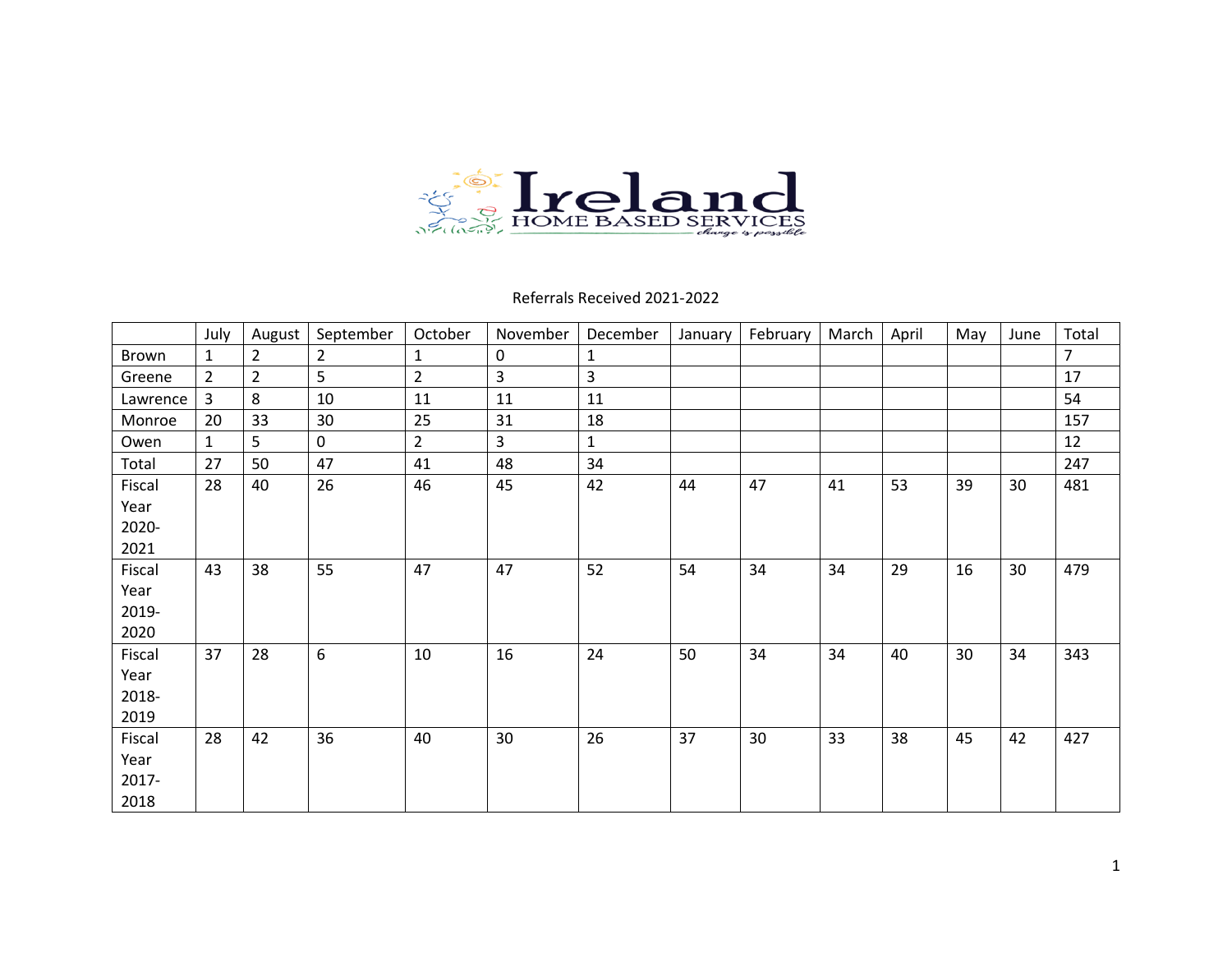

Referrals Received 2021-2022

|          | July         | August         | September      | October        | November     | December     | January | February | March | April | May | June | Total |
|----------|--------------|----------------|----------------|----------------|--------------|--------------|---------|----------|-------|-------|-----|------|-------|
| Brown    | 1            | 2              | $\overline{2}$ |                | $\mathbf 0$  | 1            |         |          |       |       |     |      | 7     |
| Greene   | 2            | $\overline{2}$ | 5              | $\overline{2}$ | $\mathbf{3}$ | 3            |         |          |       |       |     |      | 17    |
| Lawrence | 3            | 8              | 10             | 11             | 11           | 11           |         |          |       |       |     |      | 54    |
| Monroe   | 20           | 33             | 30             | 25             | 31           | 18           |         |          |       |       |     |      | 157   |
| Owen     | $\mathbf{1}$ | 5              | 0              | $\overline{2}$ | 3            | $\mathbf{1}$ |         |          |       |       |     |      | 12    |
| Total    | 27           | 50             | 47             | 41             | 48           | 34           |         |          |       |       |     |      | 247   |
| Fiscal   | 28           | 40             | 26             | 46             | 45           | 42           | 44      | 47       | 41    | 53    | 39  | 30   | 481   |
| Year     |              |                |                |                |              |              |         |          |       |       |     |      |       |
| 2020-    |              |                |                |                |              |              |         |          |       |       |     |      |       |
| 2021     |              |                |                |                |              |              |         |          |       |       |     |      |       |
| Fiscal   | 43           | 38             | 55             | 47             | 47           | 52           | 54      | 34       | 34    | 29    | 16  | 30   | 479   |
| Year     |              |                |                |                |              |              |         |          |       |       |     |      |       |
| 2019-    |              |                |                |                |              |              |         |          |       |       |     |      |       |
| 2020     |              |                |                |                |              |              |         |          |       |       |     |      |       |
| Fiscal   | 37           | 28             | 6              | 10             | 16           | 24           | 50      | 34       | 34    | 40    | 30  | 34   | 343   |
| Year     |              |                |                |                |              |              |         |          |       |       |     |      |       |
| 2018-    |              |                |                |                |              |              |         |          |       |       |     |      |       |
| 2019     |              |                |                |                |              |              |         |          |       |       |     |      |       |
| Fiscal   | 28           | 42             | 36             | 40             | 30           | 26           | 37      | 30       | 33    | 38    | 45  | 42   | 427   |
| Year     |              |                |                |                |              |              |         |          |       |       |     |      |       |
| 2017-    |              |                |                |                |              |              |         |          |       |       |     |      |       |
| 2018     |              |                |                |                |              |              |         |          |       |       |     |      |       |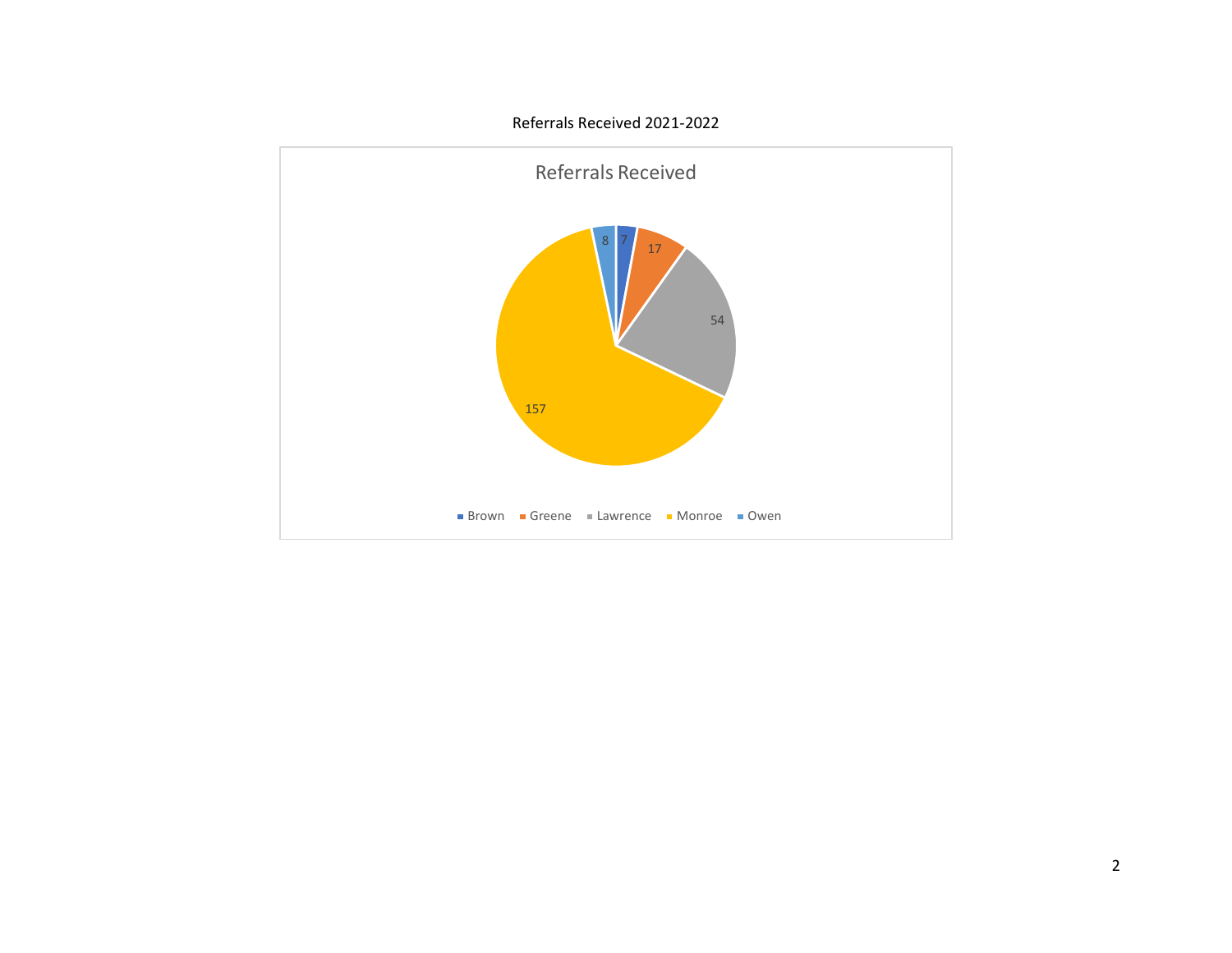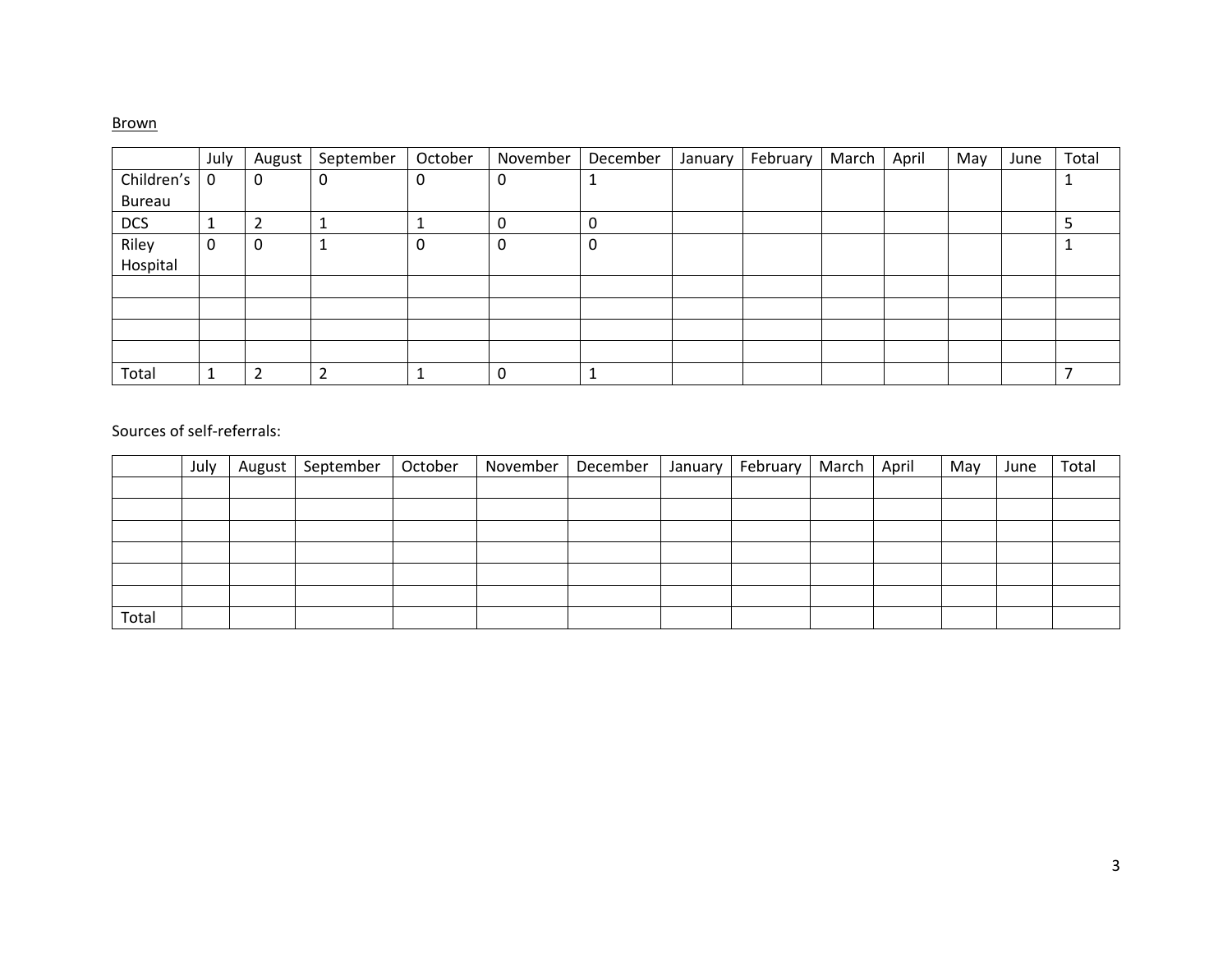### Brown

|               | July        | August | September | October | November | December | January | February | March | April | May | June | Total |
|---------------|-------------|--------|-----------|---------|----------|----------|---------|----------|-------|-------|-----|------|-------|
| Children's    | $\mathbf 0$ | 0      | 0         | υ       | 0        |          |         |          |       |       |     |      |       |
| <b>Bureau</b> |             |        |           |         |          |          |         |          |       |       |     |      |       |
| <b>DCS</b>    | J.          | 2      |           |         | U        | 0        |         |          |       |       |     |      |       |
| Riley         | 0           | 0      |           | 0       | 0        | 0        |         |          |       |       |     |      |       |
| Hospital      |             |        |           |         |          |          |         |          |       |       |     |      |       |
|               |             |        |           |         |          |          |         |          |       |       |     |      |       |
|               |             |        |           |         |          |          |         |          |       |       |     |      |       |
|               |             |        |           |         |          |          |         |          |       |       |     |      |       |
|               |             |        |           |         |          |          |         |          |       |       |     |      |       |
| Total         |             | 2      | ┑         |         |          |          |         |          |       |       |     |      |       |

|       | July | August   September | October | November | December | January | February   March   April |  | May | June | Total |
|-------|------|--------------------|---------|----------|----------|---------|--------------------------|--|-----|------|-------|
|       |      |                    |         |          |          |         |                          |  |     |      |       |
|       |      |                    |         |          |          |         |                          |  |     |      |       |
|       |      |                    |         |          |          |         |                          |  |     |      |       |
|       |      |                    |         |          |          |         |                          |  |     |      |       |
|       |      |                    |         |          |          |         |                          |  |     |      |       |
|       |      |                    |         |          |          |         |                          |  |     |      |       |
| Total |      |                    |         |          |          |         |                          |  |     |      |       |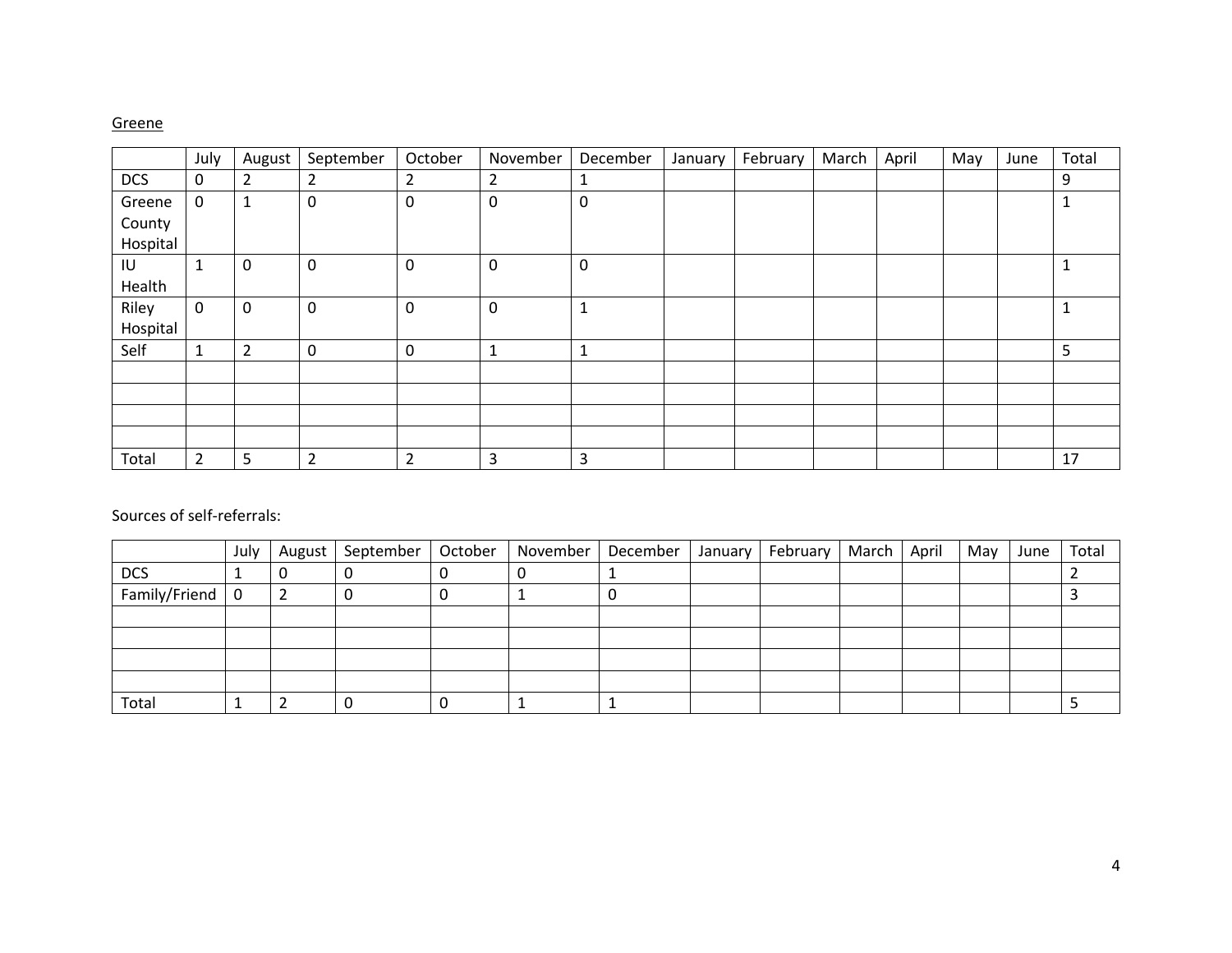### Greene

|            | July           | August         | September      | October        | November       | December     | January | February | March | April | May | June | Total |
|------------|----------------|----------------|----------------|----------------|----------------|--------------|---------|----------|-------|-------|-----|------|-------|
| <b>DCS</b> | 0              | $\overline{2}$ | $\overline{2}$ | 2              | $\overline{2}$ | 1            |         |          |       |       |     |      | 9     |
| Greene     | $\mathbf 0$    | 1              | $\mathbf 0$    | 0              | $\mathbf 0$    | 0            |         |          |       |       |     |      |       |
| County     |                |                |                |                |                |              |         |          |       |       |     |      |       |
| Hospital   |                |                |                |                |                |              |         |          |       |       |     |      |       |
| IU         | $\mathbf{1}$   | 0              | $\mathbf 0$    | 0              | $\mathbf 0$    | $\mathbf 0$  |         |          |       |       |     |      |       |
| Health     |                |                |                |                |                |              |         |          |       |       |     |      |       |
| Riley      | $\mathsf 0$    | 0              | $\mathbf 0$    | 0              | $\mathbf 0$    | $\mathbf 1$  |         |          |       |       |     |      |       |
| Hospital   |                |                |                |                |                |              |         |          |       |       |     |      |       |
| Self       | $\mathbf 1$    | $\overline{2}$ | $\mathbf 0$    | 0              | $\mathbf{1}$   | $\mathbf{1}$ |         |          |       |       |     |      | 5     |
|            |                |                |                |                |                |              |         |          |       |       |     |      |       |
|            |                |                |                |                |                |              |         |          |       |       |     |      |       |
|            |                |                |                |                |                |              |         |          |       |       |     |      |       |
|            |                |                |                |                |                |              |         |          |       |       |     |      |       |
| Total      | $\overline{2}$ | 5              | $\overline{2}$ | $\overline{2}$ | 3              | 3            |         |          |       |       |     |      | 17    |

|               | July | August | September   October   November |   | December | January | February   March   April |  | May | June | Total |
|---------------|------|--------|--------------------------------|---|----------|---------|--------------------------|--|-----|------|-------|
| <b>DCS</b>    |      |        |                                |   |          |         |                          |  |     |      |       |
| Family/Friend | 0    |        |                                | U |          |         |                          |  |     |      |       |
|               |      |        |                                |   |          |         |                          |  |     |      |       |
|               |      |        |                                |   |          |         |                          |  |     |      |       |
|               |      |        |                                |   |          |         |                          |  |     |      |       |
|               |      |        |                                |   |          |         |                          |  |     |      |       |
| Total         |      |        |                                |   |          |         |                          |  |     |      |       |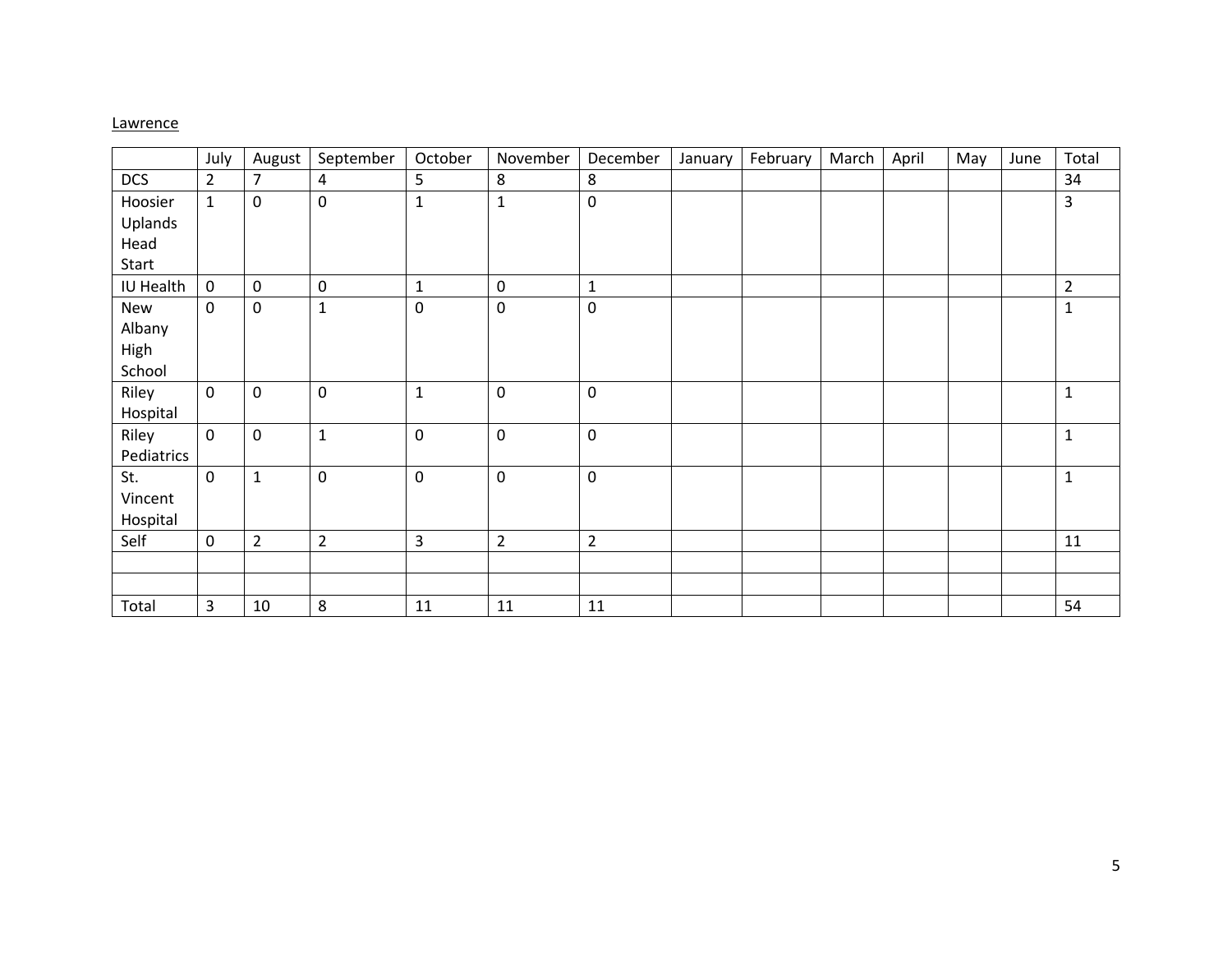### **Lawrence**

|            | July           | August         | September        | October          | November         | December       | January | February | March | April | May | June | Total          |
|------------|----------------|----------------|------------------|------------------|------------------|----------------|---------|----------|-------|-------|-----|------|----------------|
| <b>DCS</b> | $\overline{2}$ | $\overline{7}$ | 4                | 5                | 8                | 8              |         |          |       |       |     |      | 34             |
| Hoosier    | $\mathbf{1}$   | $\pmb{0}$      | $\mathbf 0$      | $\mathbf{1}$     | $\mathbf 1$      | $\mathsf 0$    |         |          |       |       |     |      | 3              |
| Uplands    |                |                |                  |                  |                  |                |         |          |       |       |     |      |                |
| Head       |                |                |                  |                  |                  |                |         |          |       |       |     |      |                |
| Start      |                |                |                  |                  |                  |                |         |          |       |       |     |      |                |
| IU Health  | $\mathbf 0$    | 0              | $\mathbf 0$      | $\mathbf 1$      | $\mathbf 0$      | $\mathbf{1}$   |         |          |       |       |     |      | $\overline{2}$ |
| New        | $\mathbf 0$    | $\pmb{0}$      | $\mathbf{1}$     | $\pmb{0}$        | $\mathbf 0$      | $\pmb{0}$      |         |          |       |       |     |      | $\mathbf{1}$   |
| Albany     |                |                |                  |                  |                  |                |         |          |       |       |     |      |                |
| High       |                |                |                  |                  |                  |                |         |          |       |       |     |      |                |
| School     |                |                |                  |                  |                  |                |         |          |       |       |     |      |                |
| Riley      | 0              | 0              | $\mathbf 0$      | $\mathbf{1}$     | $\boldsymbol{0}$ | $\mathbf 0$    |         |          |       |       |     |      | $\mathbf{1}$   |
| Hospital   |                |                |                  |                  |                  |                |         |          |       |       |     |      |                |
| Riley      | $\mathbf 0$    | $\pmb{0}$      | $\mathbf{1}$     | $\boldsymbol{0}$ | $\boldsymbol{0}$ | $\mathbf 0$    |         |          |       |       |     |      | $\mathbf{1}$   |
| Pediatrics |                |                |                  |                  |                  |                |         |          |       |       |     |      |                |
| St.        | 0              | $\mathbf{1}$   | $\boldsymbol{0}$ | $\pmb{0}$        | $\boldsymbol{0}$ | $\pmb{0}$      |         |          |       |       |     |      | $\mathbf{1}$   |
| Vincent    |                |                |                  |                  |                  |                |         |          |       |       |     |      |                |
| Hospital   |                |                |                  |                  |                  |                |         |          |       |       |     |      |                |
| Self       | 0              | $\overline{2}$ | $\overline{2}$   | $\overline{3}$   | $\overline{2}$   | $\overline{2}$ |         |          |       |       |     |      | 11             |
|            |                |                |                  |                  |                  |                |         |          |       |       |     |      |                |
|            |                |                |                  |                  |                  |                |         |          |       |       |     |      |                |
| Total      | 3              | 10             | 8                | 11               | 11               | 11             |         |          |       |       |     |      | 54             |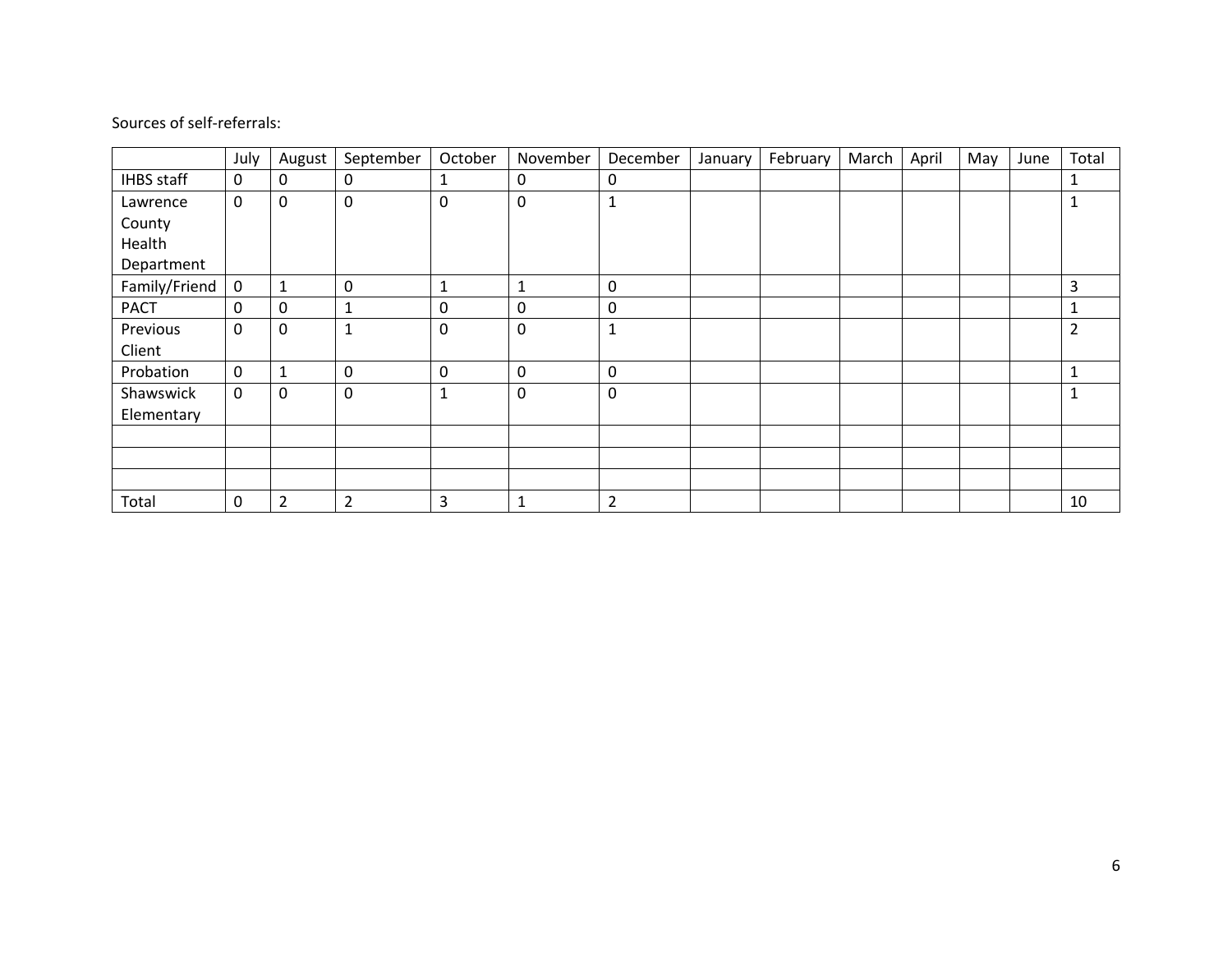|                   | July        | August         | September      | October      | November     | December       | January | February | March | April | May | June | Total          |
|-------------------|-------------|----------------|----------------|--------------|--------------|----------------|---------|----------|-------|-------|-----|------|----------------|
| <b>IHBS</b> staff | $\mathbf 0$ | 0              | 0              | 1            | 0            | 0              |         |          |       |       |     |      | 1              |
| Lawrence          | $\mathbf 0$ | 0              | $\mathbf 0$    | 0            | $\mathbf 0$  | 1              |         |          |       |       |     |      | 1              |
| County            |             |                |                |              |              |                |         |          |       |       |     |      |                |
| Health            |             |                |                |              |              |                |         |          |       |       |     |      |                |
| Department        |             |                |                |              |              |                |         |          |       |       |     |      |                |
| Family/Friend     | $\mathsf 0$ |                | $\mathbf 0$    | $\mathbf{1}$ | $\mathbf{1}$ | $\mathbf 0$    |         |          |       |       |     |      | 3              |
| <b>PACT</b>       | 0           | 0              | 1              | 0            | $\mathbf 0$  | 0              |         |          |       |       |     |      | 1              |
| Previous          | $\mathbf 0$ | 0              | $\mathbf{1}$   | $\mathbf 0$  | $\mathbf 0$  | $\mathbf{1}$   |         |          |       |       |     |      | $\overline{2}$ |
| Client            |             |                |                |              |              |                |         |          |       |       |     |      |                |
| Probation         | $\mathbf 0$ |                | 0              | 0            | $\mathbf 0$  | 0              |         |          |       |       |     |      | 1              |
| Shawswick         | $\mathbf 0$ | 0              | $\mathbf 0$    | $\mathbf{1}$ | $\mathbf 0$  | $\mathbf 0$    |         |          |       |       |     |      | $\mathbf{1}$   |
| Elementary        |             |                |                |              |              |                |         |          |       |       |     |      |                |
|                   |             |                |                |              |              |                |         |          |       |       |     |      |                |
|                   |             |                |                |              |              |                |         |          |       |       |     |      |                |
|                   |             |                |                |              |              |                |         |          |       |       |     |      |                |
| Total             | 0           | $\overline{2}$ | $\overline{2}$ | 3            | $\mathbf{1}$ | $\overline{2}$ |         |          |       |       |     |      | 10             |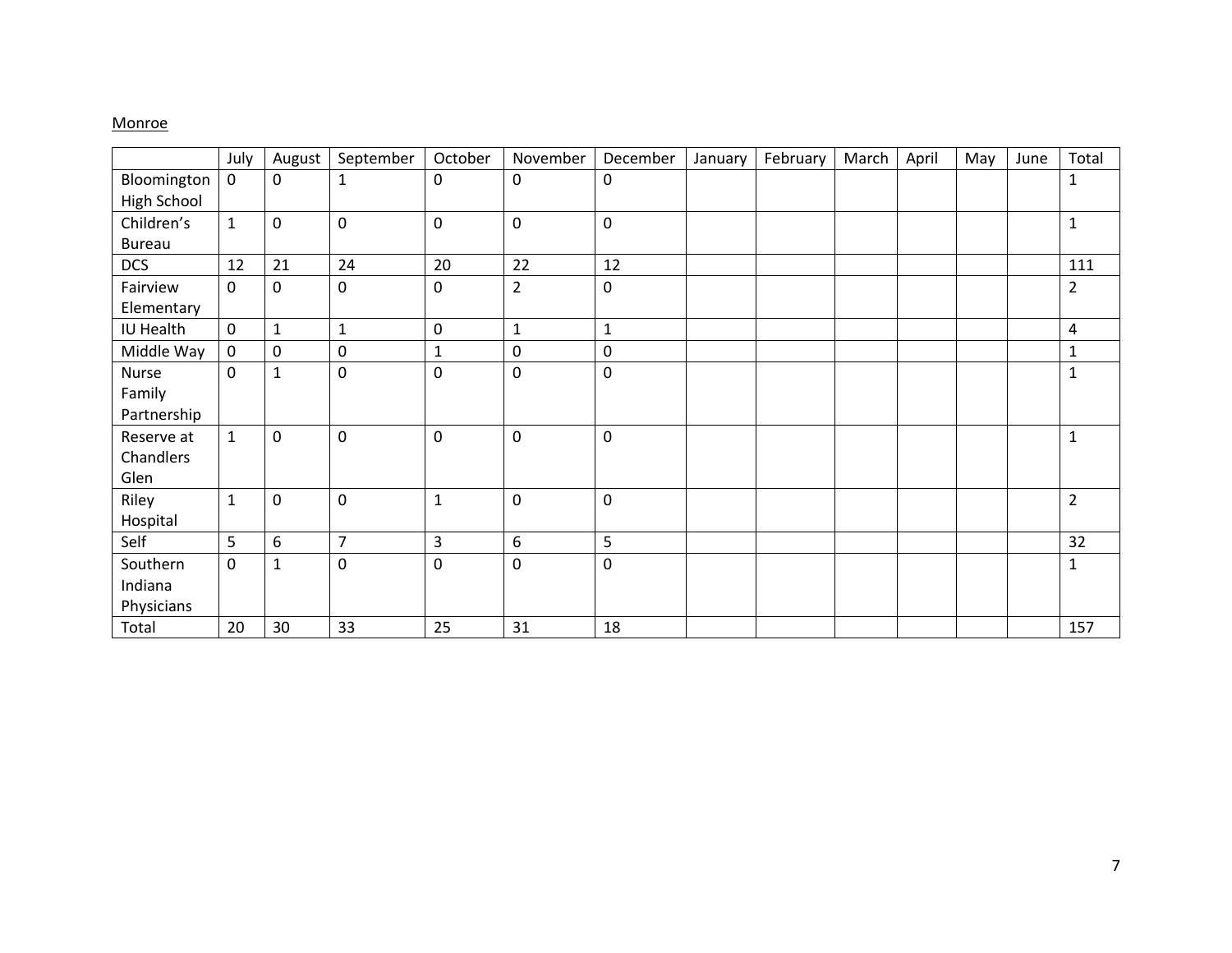### **Monroe**

|                    | July         | August              | September           | October      | November       | December     | January | February | March | April | May | June | Total          |
|--------------------|--------------|---------------------|---------------------|--------------|----------------|--------------|---------|----------|-------|-------|-----|------|----------------|
| Bloomington        | $\mathbf 0$  | $\mathbf 0$         | $\mathbf{1}$        | 0            | 0              | $\mathbf 0$  |         |          |       |       |     |      | 1              |
| <b>High School</b> |              |                     |                     |              |                |              |         |          |       |       |     |      |                |
| Children's         | $\mathbf{1}$ | $\mathsf{O}\xspace$ | $\mathsf{O}\xspace$ | 0            | $\pmb{0}$      | $\pmb{0}$    |         |          |       |       |     |      | $\mathbf{1}$   |
| <b>Bureau</b>      |              |                     |                     |              |                |              |         |          |       |       |     |      |                |
| <b>DCS</b>         | 12           | 21                  | 24                  | 20           | 22             | 12           |         |          |       |       |     |      | 111            |
| Fairview           | $\mathbf 0$  | 0                   | $\mathbf 0$         | 0            | $\overline{2}$ | $\mathbf 0$  |         |          |       |       |     |      | $\overline{2}$ |
| Elementary         |              |                     |                     |              |                |              |         |          |       |       |     |      |                |
| IU Health          | $\mathbf 0$  | $\mathbf{1}$        | $\mathbf{1}$        | 0            | $\mathbf{1}$   | $\mathbf{1}$ |         |          |       |       |     |      | 4              |
| Middle Way         | $\mathbf 0$  | $\mathbf 0$         | $\pmb{0}$           | $\mathbf{1}$ | 0              | $\mathbf 0$  |         |          |       |       |     |      | 1              |
| Nurse              | $\mathbf 0$  | $\mathbf{1}$        | 0                   | 0            | 0              | $\mathbf 0$  |         |          |       |       |     |      | $\mathbf{1}$   |
| Family             |              |                     |                     |              |                |              |         |          |       |       |     |      |                |
| Partnership        |              |                     |                     |              |                |              |         |          |       |       |     |      |                |
| Reserve at         | $\mathbf{1}$ | $\mathbf 0$         | $\mathbf 0$         | 0            | 0              | $\mathbf 0$  |         |          |       |       |     |      | $\mathbf{1}$   |
| Chandlers          |              |                     |                     |              |                |              |         |          |       |       |     |      |                |
| Glen               |              |                     |                     |              |                |              |         |          |       |       |     |      |                |
| Riley              | $\mathbf{1}$ | $\mathbf 0$         | $\mathbf 0$         | $\mathbf{1}$ | $\mathbf 0$    | $\mathbf 0$  |         |          |       |       |     |      | $\overline{2}$ |
| Hospital           |              |                     |                     |              |                |              |         |          |       |       |     |      |                |
| Self               | 5            | 6                   | $\overline{7}$      | 3            | 6              | 5            |         |          |       |       |     |      | 32             |
| Southern           | $\mathbf 0$  | $\mathbf 1$         | 0                   | 0            | 0              | $\pmb{0}$    |         |          |       |       |     |      | $\mathbf{1}$   |
| Indiana            |              |                     |                     |              |                |              |         |          |       |       |     |      |                |
| Physicians         |              |                     |                     |              |                |              |         |          |       |       |     |      |                |
| Total              | 20           | 30                  | 33                  | 25           | 31             | 18           |         |          |       |       |     |      | 157            |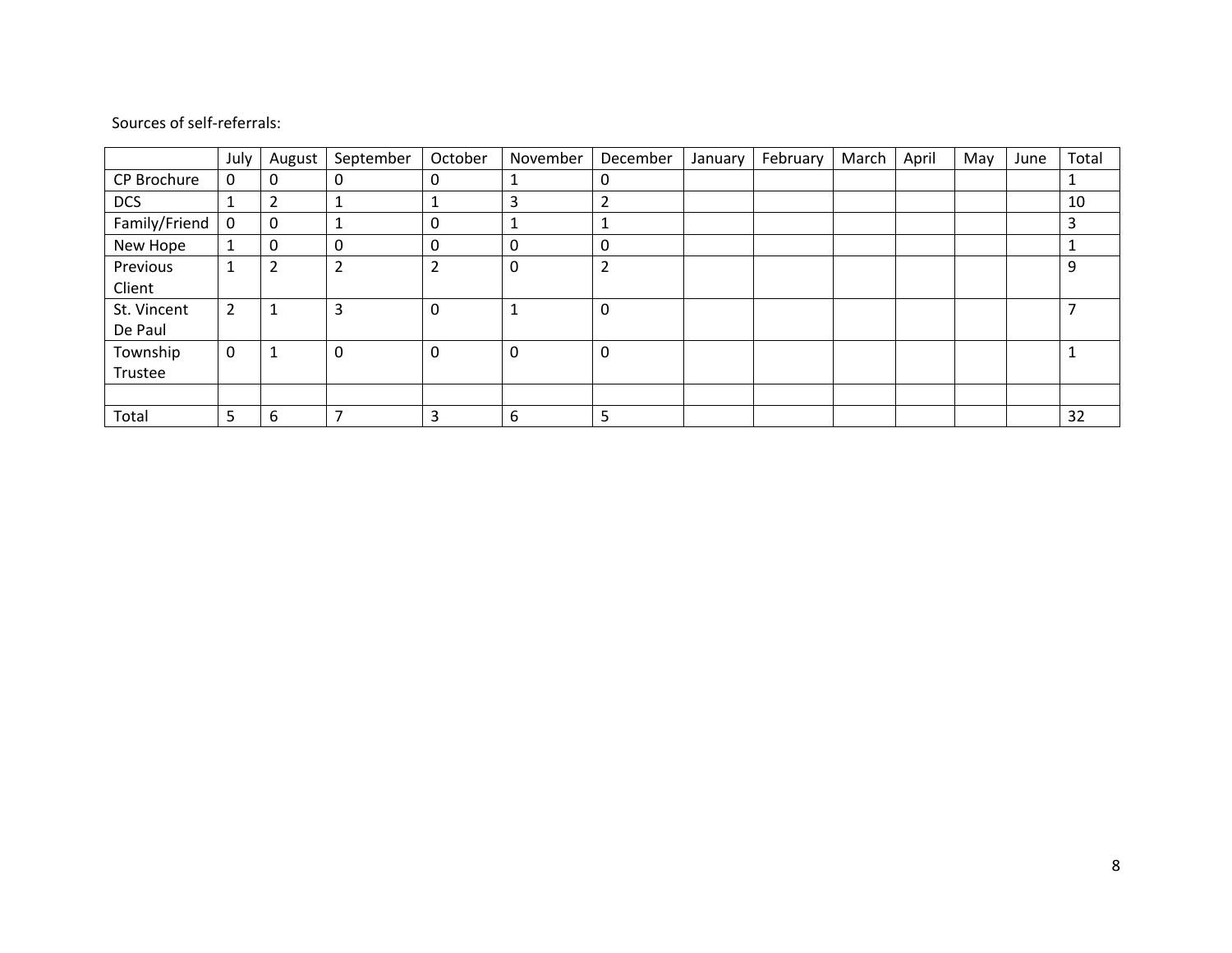|               | July | August         | September | October        | November | December       | January | February | March | April | May | June | Total |
|---------------|------|----------------|-----------|----------------|----------|----------------|---------|----------|-------|-------|-----|------|-------|
| CP Brochure   | 0    | 0              | 0         | 0              |          | 0              |         |          |       |       |     |      |       |
| <b>DCS</b>    |      | $\overline{2}$ |           | 1              | 3        | 2              |         |          |       |       |     |      | 10    |
| Family/Friend | 0    | 0              |           | 0              |          | 1              |         |          |       |       |     |      | 3     |
| New Hope      |      | 0              | 0         | 0              | 0        | 0              |         |          |       |       |     |      |       |
| Previous      |      | $\overline{2}$ | C<br>∠    | $\overline{2}$ | 0        | $\overline{2}$ |         |          |       |       |     |      | 9     |
| Client        |      |                |           |                |          |                |         |          |       |       |     |      |       |
| St. Vincent   | 2    | 1              | 3         | 0              |          | 0              |         |          |       |       |     |      |       |
| De Paul       |      |                |           |                |          |                |         |          |       |       |     |      |       |
| Township      | 0    | 1              | $\Omega$  | 0              | 0        | 0              |         |          |       |       |     |      |       |
| Trustee       |      |                |           |                |          |                |         |          |       |       |     |      |       |
|               |      |                |           |                |          |                |         |          |       |       |     |      |       |
| Total         | 5    | 6              |           | 3              | 6        | 5              |         |          |       |       |     |      | 32    |